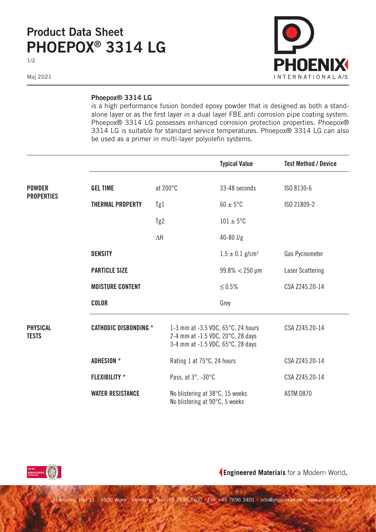## **Product Data Sheet PHOEPOX® 3314 LG**

**1/2**

**Maj 2021**



## **Phoepox® 3314 LG**

is a high performance fusion bonded epoxy powder that is designed as both a standalone layer or as the first layer in a dual layer FBE anti corrosion pipe coating system. Phoepox® 3314 LG possesses enhanced corrosion protection properties. Phoepox® 3314 LG is suitable for standard service temperatures. Phoepox® 3314 LG can also be used as a primer in multi-layer polyolefin systems.

|                                    |                              |                                                                                                                        |                                                                   | <b>Typical Value</b>            | <b>Test Method / Device</b> |
|------------------------------------|------------------------------|------------------------------------------------------------------------------------------------------------------------|-------------------------------------------------------------------|---------------------------------|-----------------------------|
| <b>POWDER</b><br><b>PROPERTIES</b> | <b>GEL TIME</b>              | at 200°C                                                                                                               |                                                                   | 33-48 seconds                   | ISO 8130-6                  |
|                                    | <b>THERMAL PROPERTY</b>      | Tg1                                                                                                                    |                                                                   | $60 \pm 5^{\circ}$ C            | ISO 21809-2                 |
|                                    |                              | Tg2                                                                                                                    |                                                                   | $101 \pm 5$ °C                  |                             |
|                                    |                              | $\Delta H$                                                                                                             |                                                                   | $40 - 80$ J/g                   |                             |
|                                    | <b>DENSITY</b>               |                                                                                                                        |                                                                   | $1.5 \pm 0.1$ g/cm <sup>3</sup> | Gas Pycnometer              |
|                                    | <b>PARTICLE SIZE</b>         |                                                                                                                        |                                                                   | $99.8\% < 250 \,\mu m$          | Laser Scattering            |
|                                    | <b>MOISTURE CONTENT</b>      |                                                                                                                        |                                                                   | $≤ 0.5%$                        | CSA Z245.20-14              |
|                                    | <b>COLOR</b>                 |                                                                                                                        |                                                                   | Grey                            |                             |
| <b>PHYSICAL</b><br><b>TESTS</b>    | <b>CATHODIC DISBONDING *</b> | 1-3 mm at -3.5 VDC, $65^{\circ}$ C, 24 hours<br>2-4 mm at -1.5 VDC, 20°C, 28 days<br>3-4 mm at -1.5 VDC, 65°C, 28 days |                                                                   |                                 | CSA Z245.20-14              |
|                                    | <b>ADHESION *</b>            |                                                                                                                        | Rating 1 at 75°C, 24 hours                                        |                                 | CSA Z245.20-14              |
|                                    | <b>FLEXIBILITY *</b>         |                                                                                                                        | Pass, at 3°, -30°C                                                |                                 | CSA Z245.20-14              |
|                                    | <b>WATER RESISTANCE</b>      |                                                                                                                        | No blistering at 38°C, 15 weeks<br>No blistering at 90°C, 5 weeks |                                 | ASTM D870                   |



Engineered Materials for a Modern World.